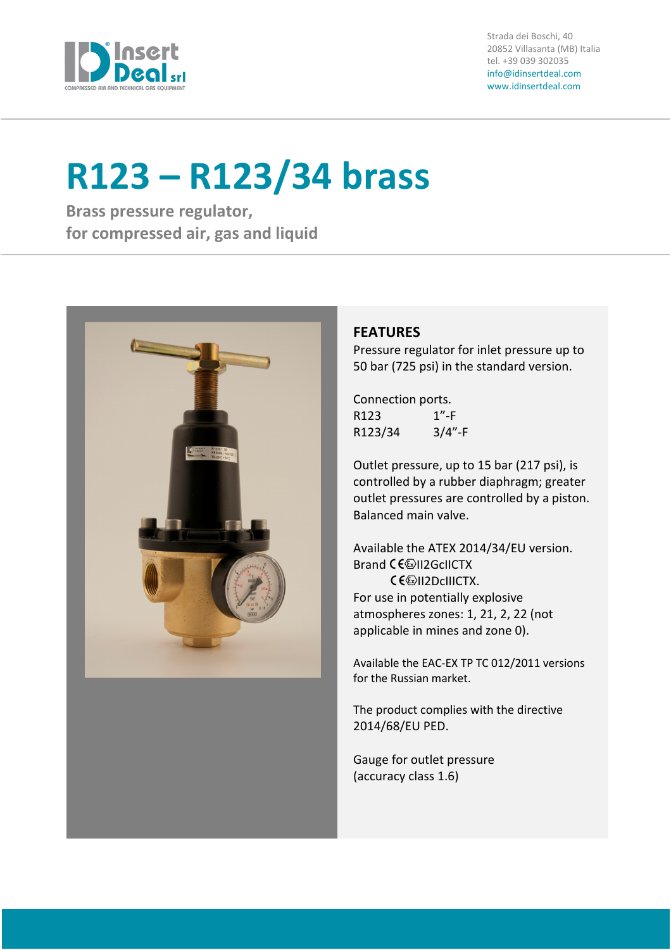

Strada dei Boschi, 40 20852 Villasanta (MB) Italia tel. +39 039 302035 info@idinsertdeal.com www.idinsertdeal.com

# R123 – R123/34 brass

Brass pressure regulator, for compressed air, gas and liquid



## **FEATURES**

Pressure regulator for inlet pressure up to 50 bar (725 psi) in the standard version.

Connection ports. R123 1"-F R123/34 3/4"-F

Outlet pressure, up to 15 bar (217 psi), is controlled by a rubber diaphragm; greater outlet pressures are controlled by a piston. Balanced main valve.

Available the ATEX 2014/34/EU version. Brand CE<sup>(2)</sup>II2GcIICTX **CE**II2DcIIICTX. For use in potentially explosive atmospheres zones: 1, 21, 2, 22 (not applicable in mines and zone 0).

Available the EAC-EX TP TC 012/2011 versions for the Russian market.

The product complies with the directive 2014/68/EU PED.

Gauge for outlet pressure (accuracy class 1.6)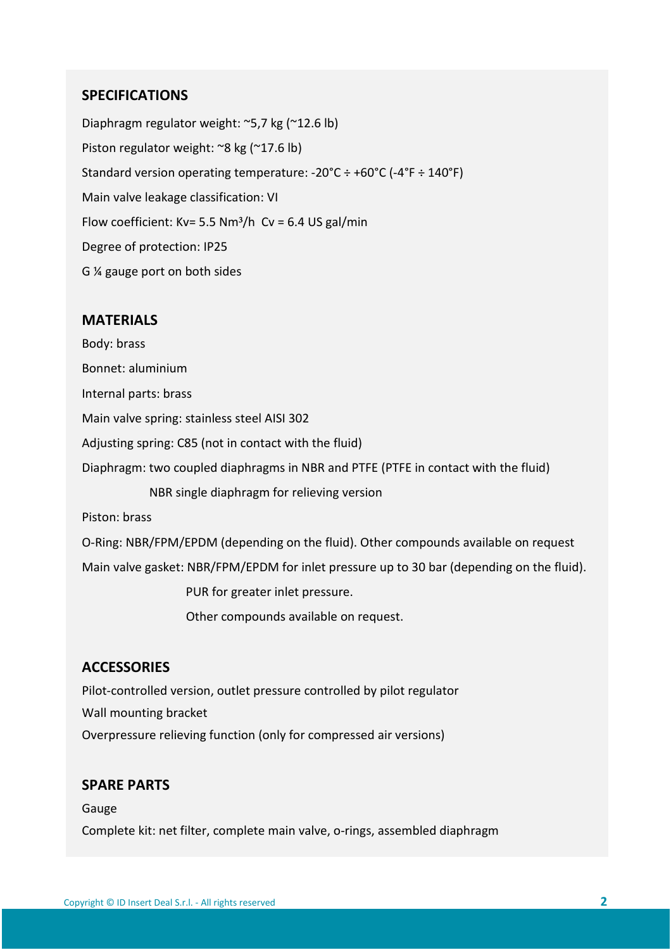## SPECIFICATIONS

Diaphragm regulator weight: ~5,7 kg (~12.6 lb) Piston regulator weight: ~8 kg (~17.6 lb) Standard version operating temperature: -20°C ÷ +60°C (-4°F ÷ 140°F) Main valve leakage classification: VI Flow coefficient: Kv= 5.5 Nm<sup>3</sup>/h Cv = 6.4 US gal/min Degree of protection: IP25 G ¼ gauge port on both sides

### MATERIALS

Body: brass Bonnet: aluminium Internal parts: brass Main valve spring: stainless steel AISI 302 Adjusting spring: C85 (not in contact with the fluid) Diaphragm: two coupled diaphragms in NBR and PTFE (PTFE in contact with the fluid) NBR single diaphragm for relieving version Piston: brass O-Ring: NBR/FPM/EPDM (depending on the fluid). Other compounds available on request Main valve gasket: NBR/FPM/EPDM for inlet pressure up to 30 bar (depending on the fluid). PUR for greater inlet pressure.

Other compounds available on request.

## **ACCESSORIES**

Pilot-controlled version, outlet pressure controlled by pilot regulator Wall mounting bracket Overpressure relieving function (only for compressed air versions)

## SPARE PARTS

Gauge Complete kit: net filter, complete main valve, o-rings, assembled diaphragm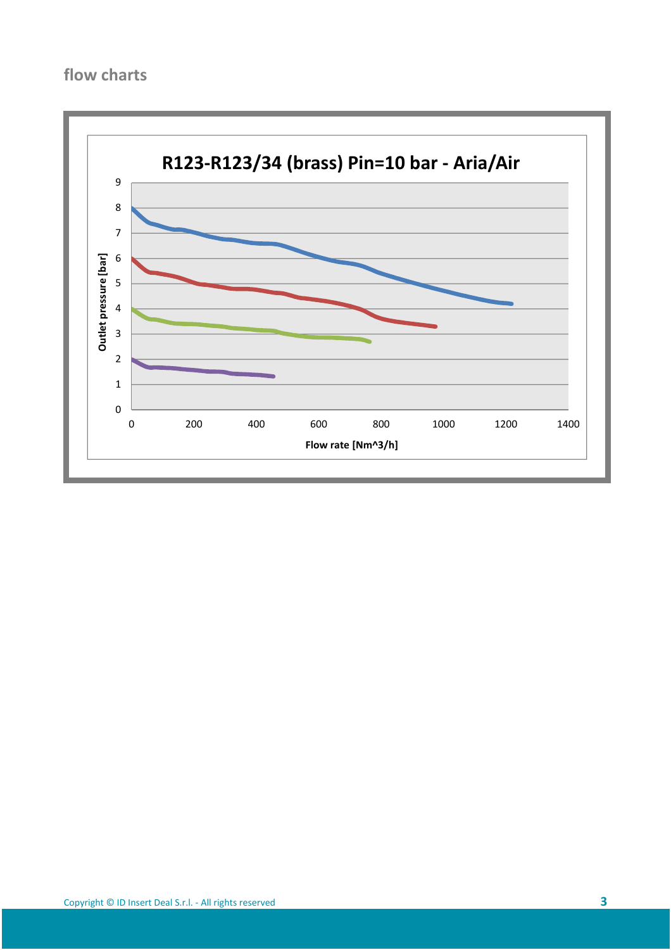# flow charts

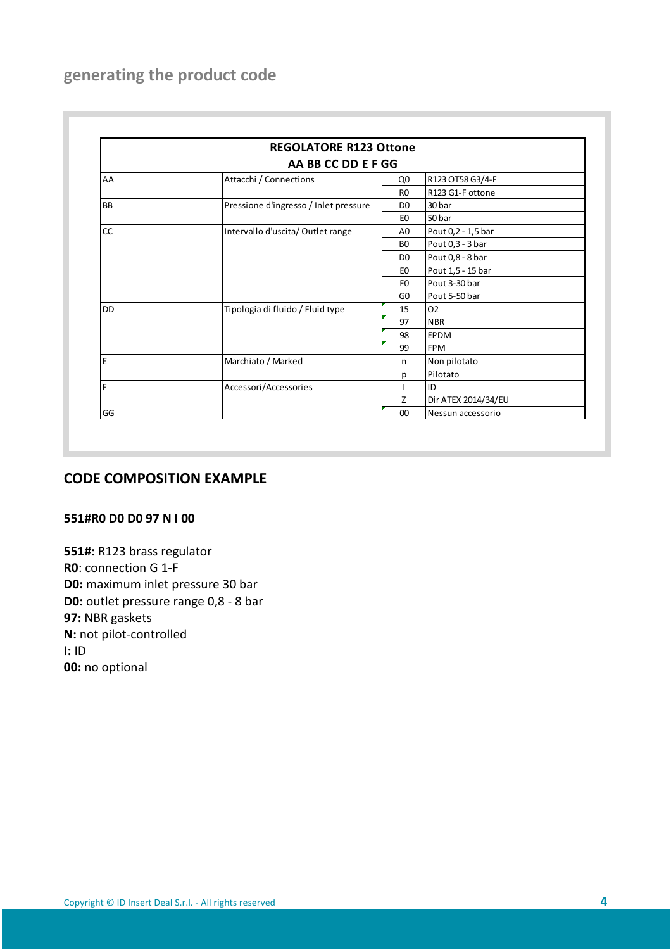# generating the product code

| <b>REGOLATORE R123 Ottone</b><br>AA BB CC DD E F GG |                                       |                |                     |
|-----------------------------------------------------|---------------------------------------|----------------|---------------------|
|                                                     |                                       |                |                     |
|                                                     |                                       | R <sub>0</sub> | R123 G1-F ottone    |
| <b>BB</b>                                           | Pressione d'ingresso / Inlet pressure | D <sub>0</sub> | 30 bar              |
|                                                     |                                       | E <sub>0</sub> | 50 bar              |
| cc                                                  | Intervallo d'uscita/Outlet range      | A0             | Pout 0,2 - 1,5 bar  |
|                                                     |                                       | B <sub>0</sub> | Pout 0,3 - 3 bar    |
|                                                     |                                       | D <sub>0</sub> | Pout 0,8 - 8 bar    |
|                                                     |                                       | E <sub>0</sub> | Pout 1,5 - 15 bar   |
|                                                     |                                       | F0             | Pout 3-30 bar       |
|                                                     |                                       | GO             | Pout 5-50 bar       |
| <b>DD</b>                                           | Tipologia di fluido / Fluid type      | 15             | O <sub>2</sub>      |
|                                                     |                                       | 97             | <b>NBR</b>          |
|                                                     |                                       | 98             | <b>EPDM</b>         |
|                                                     |                                       | 99             | <b>FPM</b>          |
| E                                                   | Marchiato / Marked                    | n              | Non pilotato        |
|                                                     |                                       | Ŋ              | Pilotato            |
| F                                                   | Accessori/Accessories                 |                | ID                  |
|                                                     |                                       | 7              | Dir ATEX 2014/34/EU |
| GG                                                  |                                       | $00\,$         | Nessun accessorio   |

## CODE COMPOSITION EXAMPLE

### 551#R0 D0 D0 97 N I 00

551#: R123 brass regulator R0: connection G 1-F D0: maximum inlet pressure 30 bar D0: outlet pressure range 0,8 - 8 bar 97: NBR gaskets N: not pilot-controlled I: ID 00: no optional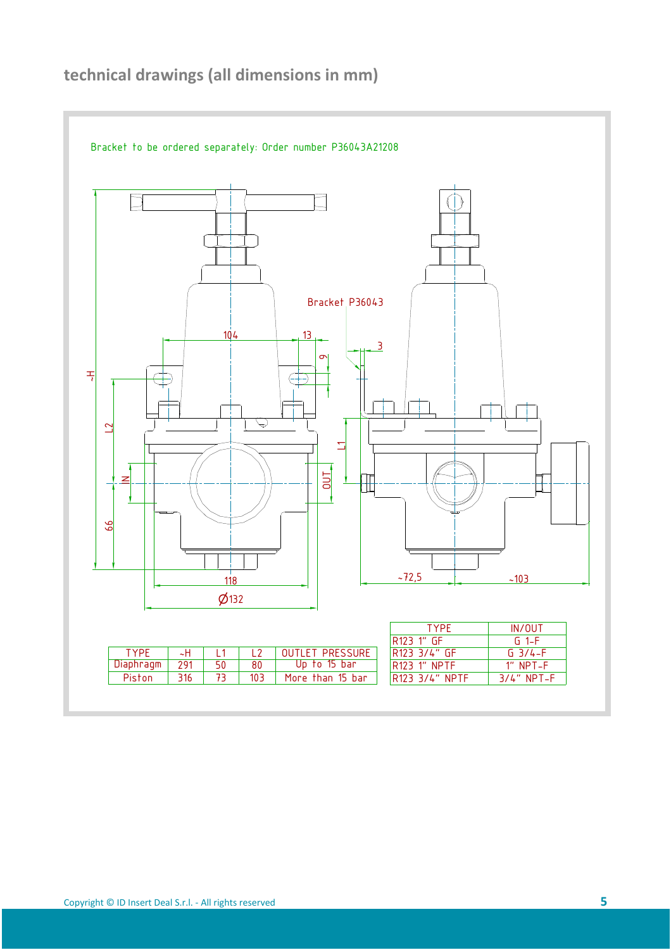

# technical drawings (all dimensions in mm)